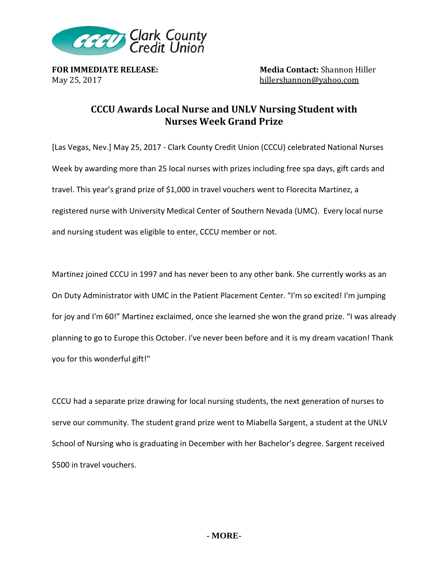

**FOR IMMEDIATE RELEASE:**<br>Media Contact: Shannon Hiller<br>hillershannon@vahoo.com hillershannon@yahoo.com

## **CCCU Awards Local Nurse and UNLV Nursing Student with Nurses Week Grand Prize**

[Las Vegas, Nev.] May 25, 2017 - Clark County Credit Union (CCCU) celebrated National Nurses Week by awarding more than 25 local nurses with prizes including free spa days, gift cards and travel. This year's grand prize of \$1,000 in travel vouchers went to Florecita Martinez, a registered nurse with University Medical Center of Southern Nevada (UMC). Every local nurse and nursing student was eligible to enter, CCCU member or not.

Martinez joined CCCU in 1997 and has never been to any other bank. She currently works as an On Duty Administrator with UMC in the Patient Placement Center. "I'm so excited! I'm jumping for joy and I'm 60!" Martinez exclaimed, once she learned she won the grand prize. "I was already planning to go to Europe this October. I've never been before and it is my dream vacation! Thank you for this wonderful gift!"

CCCU had a separate prize drawing for local nursing students, the next generation of nurses to serve our community. The student grand prize went to Miabella Sargent, a student at the UNLV School of Nursing who is graduating in December with her Bachelor's degree. Sargent received \$500 in travel vouchers.